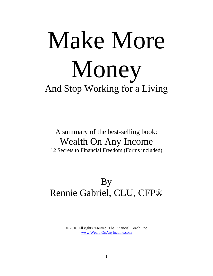# Make More Money And Stop Working for a Living

# A summary of the best-selling book: Wealth On Any Income 12 Secrets to Financial Freedom (Forms included)

# By Rennie Gabriel, CLU, CFP®

© 2016 All rights reserved. The Financial Coach, Inc [www.WealthOnAnyIncome.com](http://www.wealthonanyincome.com/)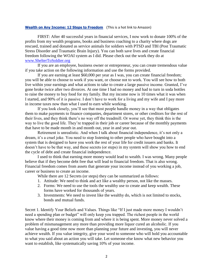### **[Wealth on Any Income: 12 Steps to Freedom](http://www.amazon.com/Wealth-Any-Income-Steps-Freedom/dp/1891689819/ref=pd_bbs_sr_1?ie=UTF8&s=books&qid=1200283991&sr=8-1)** (This is a hot link to Amazon)

FIRST: After 40 successful years in financial services, I now work to donate 100% of the profits from my wealth programs, books and business coaching to a charity where dogs are rescued, trained and donated as service animals for soldiers with PTSD and TBI (Post Traumatic Stress Disorder and Traumatic Brain Injury). You can both save lives and create financial freedom following the WOAI system as I did. Please check out the work they do at [www.ShelterToSoldier.org](http://www.sheltertosoldier.org/)

If you are an employee, business owner or entrepreneur, you can create tremendous value if you take action on the following information and use the forms provided.

If you are earning at least \$60,000 per year as I was, you can create financial freedom; you will be able to choose to work if you want, or choose not to work. You will see how to both live within your earnings and what actions to take to create a large passive income. Granted, I've gone broke twice after two divorces. At one time I had no money and had to turn in soda bottles to raise the money to buy food for my family. But my income now is 10 times what it was when I started, and 90% of it is passive. I don't have to work for a living and my wife and I pay more in income taxes now than what I used to earn while working.

If you look closely, you'll see that most people handle money in a way that obligates them to make payments to finance companies, department stores, or other creditors for the rest of their lives, and they think there's no way off the treadmill. Or worse yet, they think this is the way to live the good life. They're trapped in their job or career because of the monthly payments that have to be made month in and month out, year in and year out.

Retirement is unrealistic. And when I talk about financial independence, it's not only a dream, it's a cruel joke. You need to stop listening to other people who have bought into a system that is designed to have you work the rest of your life for credit issuers and banks. It doesn't have to be that way, and these secrets (or steps) in my system will show you how to end the cycle of debt and create financial independence.

I used to think that earning more money would lead to wealth. I was wrong. Many people believe that if they become debt free that will lead to financial freedom. That is also wrong. Financial freedom comes from assets that generate your income instead of you working a job, career or business to create an income.

While there are 12 Secrets (or steps) they can be summarized as follows:

- 1. Attitude: We need to think and act like a wealthy person, not like the masses.
- 2. Forms: We need to use the tools the wealthy use to create and keep wealth. These forms have worked for thousands of years.
- 3. Investments: We need to invest like the wealthy do, which is not limited to stocks, bonds and mutual funds.

Secret 1. Identify Your Beliefs and Values. Things like "If I just made more money I wouldn't need a spending plan or budget" will only keep you trapped. The richest people in the world know where their money is coming from and where it is being spent. More money never solved a problem of mismanagement any more than providing more liquor cured an alcoholic. If you value having a good time now more than planning your future and investing, you will never achieve wealth. If you value integrity, give your word to someone who will hold you accountable to what you said about an action you will take. Let someone else know what new behavior you want to establish, like systematically saving 10% of your income.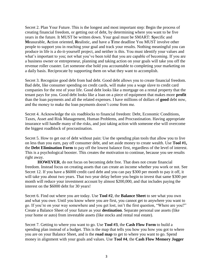Secret 2. Plan Your Future. This is the longest and most important step: Begin the process of creating financial freedom, or getting out of debt, by determining where you want to be five years in the future. It MUST be written down. Your goal must be SMART: **S**pecific and **M**easurable, **A**ction oriented, **R**ealistic, and have a **T**ime deadline You MUST involve other people to support you in reaching your goal and track your results. Nothing meaningful you can produce in life is a do-it-yourself project, and neither is this. You must identify your values and what's important to you; not what you've been told that you are capable of becoming. If you are a business owner or entrepreneur, planning and taking action on your goals will take you off the revenue roller coaster. Let someone else hold you accountable to completing your marketing on a daily basis. Reciprocate by supporting them on what they want to accomplish.

Secret 3. Recognize good debt from bad debt. Good debt allows you to create financial freedom. Bad debt, like consumer spending on credit cards, will make you a wage slave to credit card companies for the rest of your life. Good debt looks like a mortgage on a rental property that the tenant pays for you. Good debt looks like a loan on a piece of equipment that makes more **profit**  than the loan payments and all the related expenses. I have millions of dollars of **good** debt now, and the money to make the loan payments doesn't come from me.

Secret 4. Acknowledge the six roadblocks to financial freedom: Debt, Economic Conditions, Taxes, Asset and Risk Management, Human Problems, and Procrastination. Having appropriate insurance will handle many of the risks, and just taking action with someone else will overcome the biggest roadblock of procrastination.

Secret 5. How to get out of debt without pain: Use the spending plan tools that allow you to live on less than you earn, pay off consumer debt, and set aside money to create wealth. Use **Tool #1,**  the **Debt Elimination Form** to pay off the lowest balance first, regardless of the level of interest. This is a psychological booster. This creates the motivation to continue, because you see results right away.

**HOWEVER**, do not focus on becoming debt free. That does not create financial freedom. Instead focus on creating assets that can create an income whether you work or not. See Secret 12. If you have a \$6000 credit card debt and you can pay \$300 per month to pay it off, it will take you about two years. That two year delay before you begin to invest that same \$300 per month will reduce your investment account by almost \$200,000, and that includes paying the interest on the \$6000 debt for 30 years!

Secret 6. Find out where you are today. Use **Tool #2**, the **Balance Sheet** to see what you own and what you owe. Until you know where you are first, you cannot get to anywhere you want to go. If you're on your way somewhere and you get lost, isn't the first question, "Where are you?" Create a Balance Sheet of your future as your **destination**. Separate personal use assets (like your home or auto) from investable assets (like stocks and rental real estate).

Secret 7. Getting to where you want to go. Use **Tool #3**, the **Cash Flow Form** to build a spending plan instead of a budget. This is the map that tells you how you how you got to where you are on your Balance Sheet, and is the **road map** to get to where you want to go. Spend money in alignment with your goals and values. Use **Tool #4**, the **Cash Flow Memory Jogger**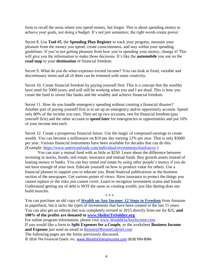form to recall the areas where you spend money, but forgot. This is about spending money to achieve your goals, not doing a budget. It's not just semantics; the right words create power.

Secret 8. Use **Tool #5**, the **Spending Plan Register** to track your progress, measure your pleasure from the money you spend, create consciousness, and stay within your spending guidelines. If you're not getting pleasure from how you're spending your money, change it! This will give you the information to make those decisions. It's like the **automobile** you use on the **road map** to your **destination** of financial freedom.

Secret 9. What do you do when expenses exceed income? You can look at fixed, variable and discretionary items and all of them can be trimmed with some creativity.

Secret 10. Create financial freedom by paying yourself first. This is a concept that the wealthy have used for 5000 years, and will still be working when you and I are dead. This is how you create the fund to invest like banks and the wealthy and achieve financial freedom.

Secret 11. How do you handle emergency spending without creating a financial disaster? Another part of paying yourself first is to set up an emergency and/or opportunity account. Spend only 80% of the income you earn. Then set up two accounts, one for financial freedom (pay yourself first) and the other account to **spend later** for emergencies or opportunities and put 10% of your income into each.

Secret 12. Create a prosperous financial future. Use the magic of compound earnings to create wealth. You can become a millionaire on \$10 per day earning 12% per year. That is only \$3600 per year. Various financial instruments have been available for decades that can do this. (Example:<https://www.americanfunds.com/individual/investments/fund/aivsx> )

You can start a mutual fund with as little as \$250. Learn about the difference between investing in stocks, bonds, real estate, insurance and mutual funds. Buy growth assets instead of loaning money to banks. You can buy rental real estate by using other people's money if you do not have enough of your own. Educate yourself on how to produce value for others. Use a financial planner to support you or educate you. Read financial publications or the business section of the newspaper. Get various points of views. Have insurance to protect the things you cannot replace or the risks you cannot cover. Learn to recognize investment scams and frauds. Understand getting out of debt is NOT the same as creating wealth; just like dieting does not build muscles. \* \* \*

You can purchase an old copy of **[Wealth on Any Income: 12 Steps to Freedom](http://www.amazon.com/Wealth-Any-Income-Steps-Freedom/dp/1891689819/ref=pd_bbs_sr_1?ie=UTF8&s=books&qid=1200283991&sr=8-1)** from Amazon in paperback, but it lacks the types of investments that have been created in the last 15 years. You can also get an edition that was completely revised in 2015 directly from me for \$25, **and 100% of the profits are donated to [www.ShelterToSoldier.org](http://www.sheltertosoldier.org/)** For online program information, please visit [www.WealthOnAnyIncome.com](http://www.wealthonanyincome.com/) If you would like a form to **Split Expenses for a Couple**, or the worksheet **Business Income and Expense** just send an email to [Rennie@RennieGabriel.com](mailto:Rennie@RennieGabriel.com) The following pages are the forms previously discussed.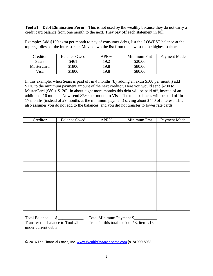**Tool #1 – Debt Elimination Form** – This is not used by the wealthy because they do not carry a credit card balance from one month to the next. They pay off each statement in full.

Example: Add \$100 extra per month to pay of consumer debts, list the LOWEST balance at the top regardless of the interest rate. Move down the list from the lowest to the highest balance.

| <b>Treditor</b>   | <b>Balance Owed</b> | APR% | Minimum Pmt | Payment Made |
|-------------------|---------------------|------|-------------|--------------|
| Sears             | \$461               | 19.2 | \$20.00     |              |
| <b>MasterCard</b> | \$1800              | 19.8 | \$80.00     |              |
| Visa              | \$1800              | 19.8 | \$80.00     |              |

In this example, when Sears is paid off in 4 months (by adding an extra \$100 per month) add \$120 to the minimum payment amount of the next creditor. Here you would send \$200 to MasterCard ( $$80 + $120$ ). In about eight more months this debt will be paid off, instead of an additional 16 months. Now send \$280 per month to Visa. The total balances will be paid off in 17 months (instead of 29 months at the minimum payment) saving about \$440 of interest. This also assumes you do not add to the balances, and you did not transfer to lower rate cards.

| Creditor | <b>Balance Owed</b> | APR% | Minimum Pmt | Payment Made |
|----------|---------------------|------|-------------|--------------|
|          |                     |      |             |              |
|          |                     |      |             |              |
|          |                     |      |             |              |
|          |                     |      |             |              |
|          |                     |      |             |              |
|          |                     |      |             |              |
|          |                     |      |             |              |
|          |                     |      |             |              |
|          |                     |      |             |              |
|          |                     |      |             |              |

Total Balance \$ \_\_\_\_\_\_\_\_\_\_\_\_ Total Minimum Payment \$\_\_\_\_\_\_\_\_\_\_\_ Transfer this balance to Tool #2 Transfer this total to Tool #3, item #16 under current debts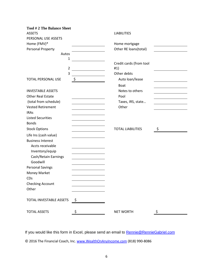| <b>Tool #2 The Balance Sheet</b> |                      |                          |    |
|----------------------------------|----------------------|--------------------------|----|
| <b>ASSETS</b>                    |                      | <b>LIABILITIES</b>       |    |
| PERSONAL USE ASSETS              |                      |                          |    |
| Home (FMV)*                      |                      | Home mortgage            |    |
| Personal Property                |                      | Other RE loans(total)    |    |
| Autos                            |                      |                          |    |
| 1                                |                      |                          |    |
|                                  |                      | Credit cards (from tool  |    |
| $\overline{2}$                   |                      | #1)                      |    |
| 3                                |                      | Other debts              |    |
| <b>TOTAL PERSONAL USE</b>        | \$                   | Auto loan/lease          |    |
|                                  |                      | <b>Boat</b>              |    |
| <b>INVESTABLE ASSETS</b>         |                      | Notes to others          |    |
| <b>Other Real Estate</b>         |                      | Pool                     |    |
| (total from schedule)            |                      | Taxes, IRS, state        |    |
| <b>Vested Retirement</b>         |                      | Other                    |    |
| <b>IRAs</b>                      |                      |                          |    |
| <b>Listed Securities</b>         |                      |                          |    |
| <b>Bonds</b>                     |                      |                          |    |
| <b>Stock Options</b>             |                      | <b>TOTAL LIABILITIES</b> | \$ |
| Life Ins (cash value)            |                      |                          |    |
| <b>Business Interest</b>         |                      |                          |    |
| Accts receivable                 |                      |                          |    |
| Inventory/equip                  |                      |                          |    |
| Cash/Retain Earnings             |                      |                          |    |
| Goodwill                         |                      |                          |    |
| <b>Personal Savings</b>          |                      |                          |    |
| Money Market                     |                      |                          |    |
| CDs                              |                      |                          |    |
| <b>Checking Account</b>          |                      |                          |    |
| Other                            |                      |                          |    |
|                                  |                      |                          |    |
| TOTAL INVESTABLE ASSETS          | $\ddot{\phantom{1}}$ |                          |    |
| <b>TOTAL ASSETS</b>              | \$                   | <b>NET WORTH</b>         | \$ |

If you would like this form in Excel, please send an email to **Rennie@RennieGabriel.com**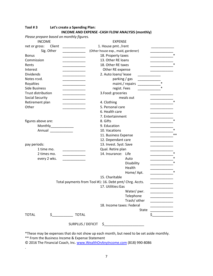| Please prepare based on monthly figures.        |                                                         |                      |
|-------------------------------------------------|---------------------------------------------------------|----------------------|
| <b>INCOME</b>                                   | <b>EXPENSE</b>                                          |                      |
| Client<br>net or gross:                         | 1. House pmt. /rent                                     |                      |
| Sig. Other                                      | (Other house exp., maid, gardener)                      |                      |
| <b>Bonus</b>                                    | 18. Property taxes                                      | $\ast$               |
| Commission                                      | 13. Other RE loans                                      |                      |
| Rents                                           | 18. Other RE taxes                                      |                      |
| Interest                                        | Other RE expense                                        |                      |
| <b>Dividends</b>                                | 2. Auto: loans/lease                                    |                      |
| Notes rcvd.                                     | parking / gas                                           |                      |
| Royalties                                       | maint./ repairs                                         |                      |
| <b>Side Business</b>                            | regist. Fees                                            |                      |
| Trust distribution<br><u> 1989 - Andrea Sta</u> | 3.Food: groceries                                       |                      |
| <b>Social Security</b>                          |                                                         | meals out            |
| Retirement plan                                 | 4. Clothing                                             |                      |
| Other                                           | 5. Personal care                                        |                      |
|                                                 | 6. Health care                                          |                      |
|                                                 | 7. Entertainment                                        |                      |
| figures above are:                              | 8. Gifts                                                |                      |
| Monthly____________                             | 9. Education                                            |                      |
| Annual ______________                           | 10. Vacations                                           | $\ast$               |
|                                                 | 11. Business Expense                                    | $**$                 |
|                                                 | 12. Dependant care                                      |                      |
| pay periods:                                    | 13. Invest. Syst: Save                                  |                      |
| 1 time mo.                                      | Qual. Retire plan<br>_______                            |                      |
| 2 times mo.<br><u> Liberatura de la con</u>     | 14. Insurance: Life                                     | $\ast$               |
| every 2 wks.                                    |                                                         | $\ast$<br>Auto       |
|                                                 |                                                         | $\ast$<br>Disability |
|                                                 |                                                         | Health               |
|                                                 |                                                         | $\ast$<br>Home/Apt.  |
|                                                 | 15. Charitable                                          |                      |
|                                                 | Total payments from Tool #1: 16. Debt pmt/ Chrg. Accts. |                      |
|                                                 | 17. Utilities: Gas                                      |                      |
|                                                 |                                                         | Water/ pwr.          |
|                                                 |                                                         | Telephone            |
|                                                 |                                                         | Trash/ other         |
|                                                 | 18. Income taxes: Federal                               |                      |
|                                                 |                                                         | State                |
| <b>TOTAL</b>                                    | <b>TOTAL</b>                                            |                      |
|                                                 |                                                         |                      |
|                                                 | SURPLUS / DEFICIT<br>$\sim$                             |                      |

## **Tool # 3 Let's create a Spending Plan: INCOME AND EXPENSE -CASH FLOW ANALYSIS (monthly)**

\*These may be expenses that do not show up each month, but need to be set aside monthly.

\*\* From the Business Income & Expense Statement

.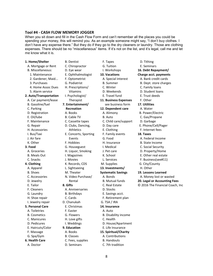### **Tool #4 - CASH FLOW MEMORY JOGGER**

When you sit down and fill in the Cash Flow Form and can't remember all the places you could be spending your money, this will remind you. As an example someone might say, "I don't buy clothes. I don't have any expense there." But they do if they go to the dry cleaners or laundry. Those are clothing expenses. There should be no "miscellaneous" items. If it's not on the list, and it's legal, call me and let me know what it is.

- **1. Home/Shelter** B. Dentist F. Tapes D. Tithing
- A. Mortgage or Rent C. Chiropractor G. Tuition E. Seminars
- 
- 
- 
- 
- 4. Home Assoc Dues H. Prescriptions/ C. Winter C. Family loans
- 
- **2. Auto/Transportation** I. Psychologist/ E. Travel fund E. Trust deeds
- A. Car payment/lease Therapist **11. Business Expenses** F. Other B. Gasoline/fuel **7. Entertainment/** see business form **17. Utilities** C. Parking **Recreation 12. Dependent care** A. Water F. Maintenance C. Cassette tapes C. Child care/support D. Garbage I. Bus/Taxi E. Concerts, Sporting F. Family events **18. Taxes**

 B. Shoes M. Theater **Systematic Savings 19. Lessons Learned 5. Personal Care** E. Christmas **14. Insurance** C. Manicures **H. Love gifts** C. Health D. Pedicures I. Weddings D. House/Apartment

**6. Health Care C. Fees, supplies B. Handouts** 

- 
- 
- 
- 
- 
- 
- 
- 
- 
- 
- 

- 
- 
- 
- 
- 
- 
- 
- 
- 
- 
- 
- A. Apparel L. Sightseeing **13. Investments/** H. Other
	- -

- F. Cleaners **A. Anniversaries** D. Stocks G. Laundry **B. Birthdays** E. Savings acct. H. Shoe repair C. Cards F. Retirement plan I. Jewelry repair D. Chanukah G. TSA / IRA A. Toiletries **F. Easter A. Auto** 
	-
- E. Haircuts/Color **9. Education** E. Life Insurance
- F. Massage A. Books **15. Spiritual/Charity** G. Spa/Gym B. Classes B. Classes A. Contributions
- A. Doctor **D. Seminars** C. 7th tradition
- B. Miscellaneous: **D. Eye wear** I. Workshops **16. Debt Repayment/**
- E. Oil/lube B. Cable TV B. Auto C. Gas/Propane
	- -
	-
	-
	-
	-
	-
	-
	-
	-
	-
	-
	-
	-
	-
	-
	-
	-
	-
	-
- B. Cosmetics **G. Flowers** B. Disability income
	-
	-
	-
	-
	-
	-
	-

 1. Maintenance E. Ophthalmologist **10. Vacations Charge acct. payments** 2. Gardener, Maid... F. Optometrist A. Special interest A. Bank credit cards 3. Purchases G. Podiatrist B. Summer B. Dept. store charges 5. Alarm service Vitamins D. Weekends D. Student loans D. Registration A. Books A. Alimony B. Power/Electric G. Repair D. Clubs, Dancing, D. Day care E. Phone/Cell/Pager H. Accessories Athletics E. Clothing F. Internet fees J. Air fare Events G. Food A. Federal Income K. Other **F. Hobbies** H. Insurance B. State Income **3. Food G. Houseguest I. Medical C. Social Security**  A. Groceries H. Liquor, Smoking J. Pet care D. Property/Home B. Meals Out **I. Magazines K. School E. Other real estate** 

- 
- 
- 
- C. Accessories **N. Video Purchase** A. Bonds **A. Money lost or wasted**
- D. Jewelry Rental B. Mutual funds **20. Legal or Accounting Fees**
- E. Tailor **8. Gifts** C. Real Estate © 2016 The Financial Coach, Inc
- C. Snacks J. Movies L. Services F. Business(see#11) **4. Clothing The Clothing K. Records, CDS** M. Supplies G. City/County
	-